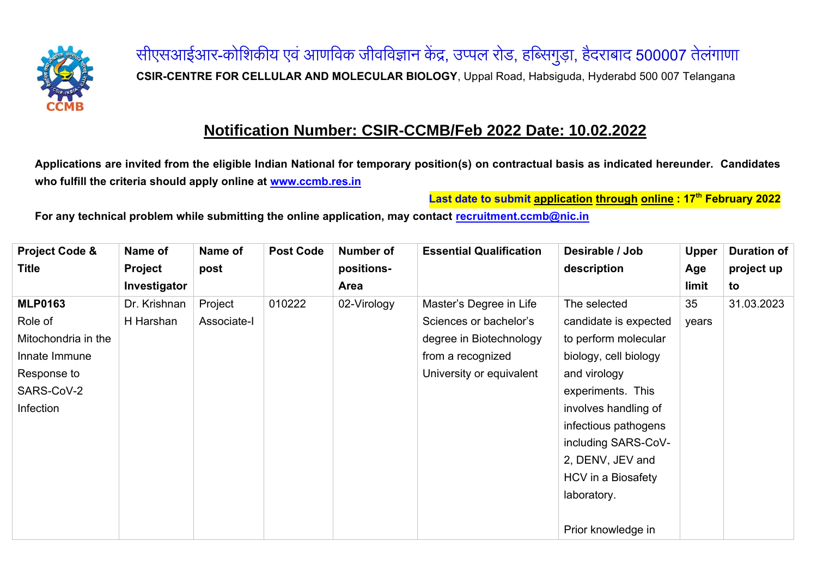

सीएसआईआर-कोशिकीय एवं आणविक जीवविज्ञान केंद्र, उप्पल रोड, हब्सिगुड़ा, हैदराबाद <mark>500007</mark> तेलंगाणा **CSIR-CENTRE FOR CELLULAR AND MOLECULAR BIOLOGY**, Uppal Road, Habsiguda, Hyderabd 500 007 Telangana

## **Notification Number: CSIR-CCMB/Feb 2022 Date: 10.02.2022**

**Applications are invited from the eligible Indian National for temporary position(s) on contractual basis as indicated hereunder. Candidates who fulfill the criteria should apply online at [www.ccmb.res.in](http://www.ccmb.res.in/)**

**Last date to submit application through online: 17 th February 2022**

**For any technical problem while submitting the online application, may contact [recruitment.ccmb@nic.in](mailto:recruitment.ccmb@nic.in)**

| <b>Project Code &amp;</b> | Name of        | Name of     | <b>Post Code</b> | Number of   | <b>Essential Qualification</b> | Desirable / Job       | <b>Upper</b> | <b>Duration of</b> |
|---------------------------|----------------|-------------|------------------|-------------|--------------------------------|-----------------------|--------------|--------------------|
| <b>Title</b>              | <b>Project</b> | post        |                  | positions-  |                                | description           | Age          | project up         |
|                           | Investigator   |             |                  | Area        |                                |                       | limit        | to                 |
| <b>MLP0163</b>            | Dr. Krishnan   | Project     | 010222           | 02-Virology | Master's Degree in Life        | The selected          | 35           | 31.03.2023         |
| Role of                   | H Harshan      | Associate-I |                  |             | Sciences or bachelor's         | candidate is expected | years        |                    |
| Mitochondria in the       |                |             |                  |             | degree in Biotechnology        | to perform molecular  |              |                    |
| Innate Immune             |                |             |                  |             | from a recognized              | biology, cell biology |              |                    |
| Response to               |                |             |                  |             | University or equivalent       | and virology          |              |                    |
| SARS-CoV-2                |                |             |                  |             |                                | experiments. This     |              |                    |
| Infection                 |                |             |                  |             |                                | involves handling of  |              |                    |
|                           |                |             |                  |             |                                | infectious pathogens  |              |                    |
|                           |                |             |                  |             |                                | including SARS-CoV-   |              |                    |
|                           |                |             |                  |             |                                | 2, DENV, JEV and      |              |                    |
|                           |                |             |                  |             |                                | HCV in a Biosafety    |              |                    |
|                           |                |             |                  |             |                                | laboratory.           |              |                    |
|                           |                |             |                  |             |                                |                       |              |                    |
|                           |                |             |                  |             |                                | Prior knowledge in    |              |                    |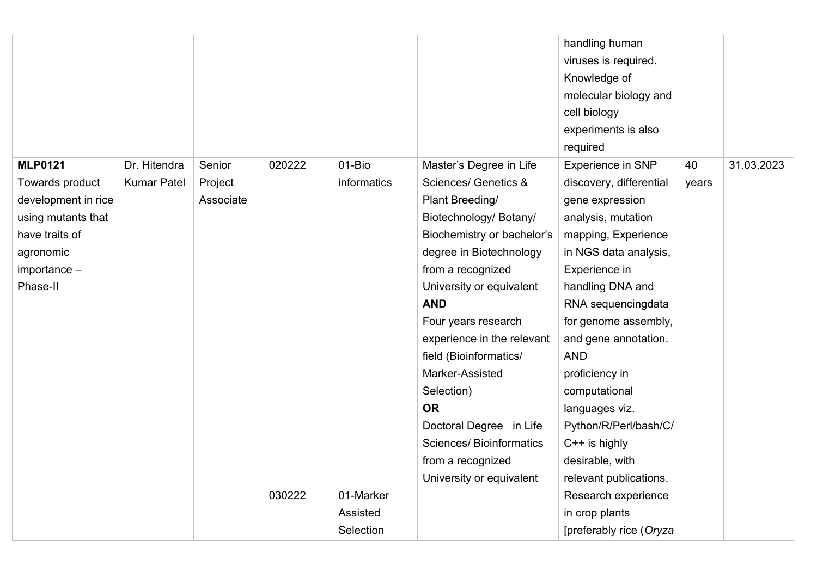|                                                                                                                                                |                                    |                                |        |                                    |                                                                                                                                                                                                                                                                                                                                                                                                                                                                            | handling human<br>viruses is required.<br>Knowledge of<br>molecular biology and<br>cell biology<br>experiments is also<br>required                                                                                                                                                                                                                                                                                  |             |            |
|------------------------------------------------------------------------------------------------------------------------------------------------|------------------------------------|--------------------------------|--------|------------------------------------|----------------------------------------------------------------------------------------------------------------------------------------------------------------------------------------------------------------------------------------------------------------------------------------------------------------------------------------------------------------------------------------------------------------------------------------------------------------------------|---------------------------------------------------------------------------------------------------------------------------------------------------------------------------------------------------------------------------------------------------------------------------------------------------------------------------------------------------------------------------------------------------------------------|-------------|------------|
| <b>MLP0121</b><br>Towards product<br>development in rice<br>using mutants that<br>have traits of<br>agronomic<br>$im$ portance $-$<br>Phase-II | Dr. Hitendra<br><b>Kumar Patel</b> | Senior<br>Project<br>Associate | 020222 | 01-Bio<br>informatics              | Master's Degree in Life<br><b>Sciences/ Genetics &amp;</b><br>Plant Breeding/<br>Biotechnology/ Botany/<br>Biochemistry or bachelor's<br>degree in Biotechnology<br>from a recognized<br>University or equivalent<br><b>AND</b><br>Four years research<br>experience in the relevant<br>field (Bioinformatics/<br>Marker-Assisted<br>Selection)<br><b>OR</b><br>Doctoral Degree in Life<br><b>Sciences/Bioinformatics</b><br>from a recognized<br>University or equivalent | <b>Experience in SNP</b><br>discovery, differential<br>gene expression<br>analysis, mutation<br>mapping, Experience<br>in NGS data analysis,<br>Experience in<br>handling DNA and<br>RNA sequencingdata<br>for genome assembly,<br>and gene annotation.<br><b>AND</b><br>proficiency in<br>computational<br>languages viz.<br>Python/R/Perl/bash/C/<br>$C++$ is highly<br>desirable, with<br>relevant publications. | 40<br>years | 31.03.2023 |
|                                                                                                                                                |                                    |                                | 030222 | 01-Marker<br>Assisted<br>Selection |                                                                                                                                                                                                                                                                                                                                                                                                                                                                            | Research experience<br>in crop plants<br>[preferably rice (Oryza                                                                                                                                                                                                                                                                                                                                                    |             |            |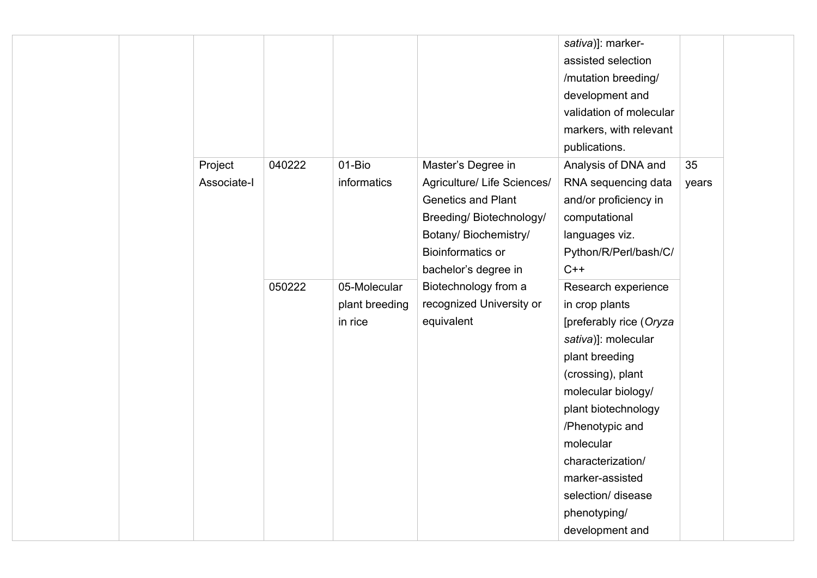|  |             |        |                |                                                                                                                                                                  | sativa)]: marker-<br>assisted selection<br>/mutation breeding/<br>development and<br>validation of molecular<br>markers, with relevant |       |  |
|--|-------------|--------|----------------|------------------------------------------------------------------------------------------------------------------------------------------------------------------|----------------------------------------------------------------------------------------------------------------------------------------|-------|--|
|  |             |        |                |                                                                                                                                                                  | publications.                                                                                                                          |       |  |
|  | Project     | 040222 | 01-Bio         | Master's Degree in                                                                                                                                               | Analysis of DNA and                                                                                                                    | 35    |  |
|  | Associate-I |        | informatics    | Agriculture/ Life Sciences/<br><b>Genetics and Plant</b><br>Breeding/Biotechnology/<br>Botany/ Biochemistry/<br><b>Bioinformatics or</b><br>bachelor's degree in | RNA sequencing data<br>and/or proficiency in<br>computational<br>languages viz.<br>Python/R/Perl/bash/C/<br>$C++$                      | years |  |
|  |             | 050222 | 05-Molecular   | Biotechnology from a                                                                                                                                             | Research experience                                                                                                                    |       |  |
|  |             |        | plant breeding | recognized University or                                                                                                                                         | in crop plants                                                                                                                         |       |  |
|  |             |        | in rice        | equivalent                                                                                                                                                       | [preferably rice (Oryza                                                                                                                |       |  |
|  |             |        |                |                                                                                                                                                                  | sativa)]: molecular                                                                                                                    |       |  |
|  |             |        |                |                                                                                                                                                                  | plant breeding                                                                                                                         |       |  |
|  |             |        |                |                                                                                                                                                                  | (crossing), plant                                                                                                                      |       |  |
|  |             |        |                |                                                                                                                                                                  | molecular biology/                                                                                                                     |       |  |
|  |             |        |                |                                                                                                                                                                  | plant biotechnology                                                                                                                    |       |  |
|  |             |        |                |                                                                                                                                                                  | /Phenotypic and                                                                                                                        |       |  |
|  |             |        |                |                                                                                                                                                                  | molecular                                                                                                                              |       |  |
|  |             |        |                |                                                                                                                                                                  | characterization/                                                                                                                      |       |  |
|  |             |        |                |                                                                                                                                                                  | marker-assisted                                                                                                                        |       |  |
|  |             |        |                |                                                                                                                                                                  | selection/ disease                                                                                                                     |       |  |
|  |             |        |                |                                                                                                                                                                  | phenotyping/                                                                                                                           |       |  |
|  |             |        |                |                                                                                                                                                                  | development and                                                                                                                        |       |  |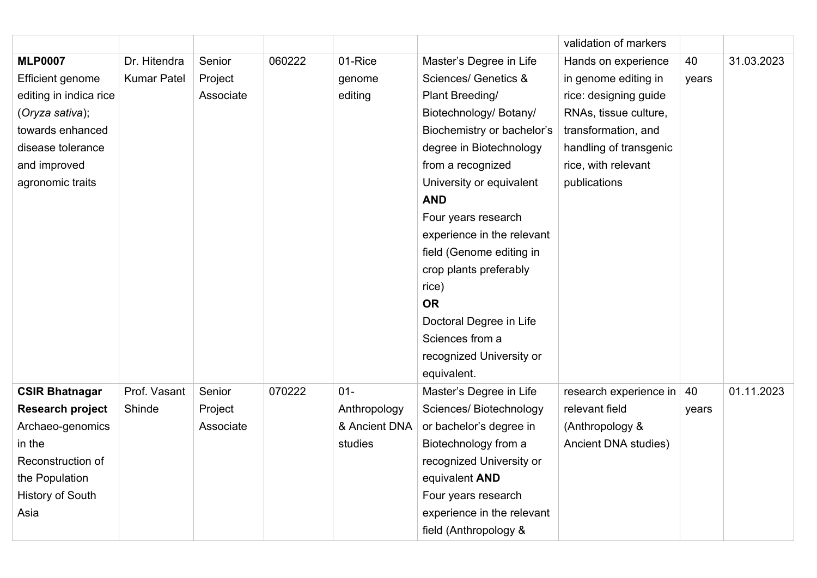|                         |                    |           |        |               |                                 | validation of markers  |       |            |
|-------------------------|--------------------|-----------|--------|---------------|---------------------------------|------------------------|-------|------------|
| <b>MLP0007</b>          | Dr. Hitendra       | Senior    | 060222 | 01-Rice       | Master's Degree in Life         | Hands on experience    | 40    | 31.03.2023 |
| <b>Efficient genome</b> | <b>Kumar Patel</b> | Project   |        | genome        | <b>Sciences/ Genetics &amp;</b> | in genome editing in   | years |            |
| editing in indica rice  |                    | Associate |        | editing       | Plant Breeding/                 | rice: designing guide  |       |            |
| (Oryza sativa);         |                    |           |        |               | Biotechnology/ Botany/          | RNAs, tissue culture,  |       |            |
| towards enhanced        |                    |           |        |               | Biochemistry or bachelor's      | transformation, and    |       |            |
| disease tolerance       |                    |           |        |               | degree in Biotechnology         | handling of transgenic |       |            |
| and improved            |                    |           |        |               | from a recognized               | rice, with relevant    |       |            |
| agronomic traits        |                    |           |        |               | University or equivalent        | publications           |       |            |
|                         |                    |           |        |               | <b>AND</b>                      |                        |       |            |
|                         |                    |           |        |               | Four years research             |                        |       |            |
|                         |                    |           |        |               | experience in the relevant      |                        |       |            |
|                         |                    |           |        |               | field (Genome editing in        |                        |       |            |
|                         |                    |           |        |               | crop plants preferably          |                        |       |            |
|                         |                    |           |        |               | rice)                           |                        |       |            |
|                         |                    |           |        |               | <b>OR</b>                       |                        |       |            |
|                         |                    |           |        |               | Doctoral Degree in Life         |                        |       |            |
|                         |                    |           |        |               | Sciences from a                 |                        |       |            |
|                         |                    |           |        |               | recognized University or        |                        |       |            |
|                         |                    |           |        |               | equivalent.                     |                        |       |            |
| <b>CSIR Bhatnagar</b>   | Prof. Vasant       | Senior    | 070222 | $01 -$        | Master's Degree in Life         | research experience in | 40    | 01.11.2023 |
| Research project        | Shinde             | Project   |        | Anthropology  | Sciences/ Biotechnology         | relevant field         | years |            |
| Archaeo-genomics        |                    | Associate |        | & Ancient DNA | or bachelor's degree in         | (Anthropology &        |       |            |
| in the                  |                    |           |        | studies       | Biotechnology from a            | Ancient DNA studies)   |       |            |
| Reconstruction of       |                    |           |        |               | recognized University or        |                        |       |            |
| the Population          |                    |           |        |               | equivalent AND                  |                        |       |            |
| <b>History of South</b> |                    |           |        |               | Four years research             |                        |       |            |
| Asia                    |                    |           |        |               | experience in the relevant      |                        |       |            |
|                         |                    |           |        |               | field (Anthropology &           |                        |       |            |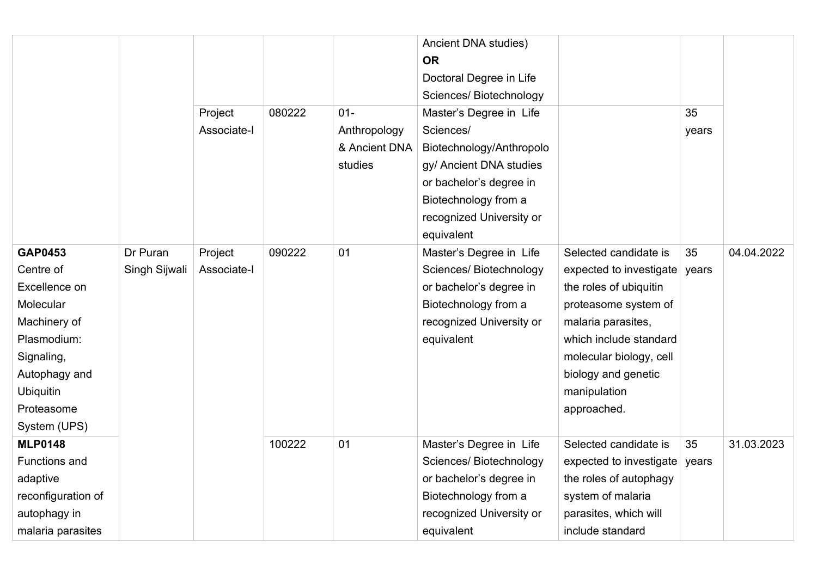|                      |               |             |        |               | Ancient DNA studies)     |                         |       |            |
|----------------------|---------------|-------------|--------|---------------|--------------------------|-------------------------|-------|------------|
|                      |               |             |        |               | <b>OR</b>                |                         |       |            |
|                      |               |             |        |               | Doctoral Degree in Life  |                         |       |            |
|                      |               |             |        |               | Sciences/ Biotechnology  |                         |       |            |
|                      |               | Project     | 080222 | $01 -$        | Master's Degree in Life  |                         | 35    |            |
|                      |               | Associate-I |        | Anthropology  | Sciences/                |                         | years |            |
|                      |               |             |        | & Ancient DNA | Biotechnology/Anthropolo |                         |       |            |
|                      |               |             |        | studies       | gy/ Ancient DNA studies  |                         |       |            |
|                      |               |             |        |               | or bachelor's degree in  |                         |       |            |
|                      |               |             |        |               | Biotechnology from a     |                         |       |            |
|                      |               |             |        |               | recognized University or |                         |       |            |
|                      |               |             |        |               | equivalent               |                         |       |            |
| <b>GAP0453</b>       | Dr Puran      | Project     | 090222 | 01            | Master's Degree in Life  | Selected candidate is   | 35    | 04.04.2022 |
| Centre of            | Singh Sijwali | Associate-I |        |               | Sciences/ Biotechnology  | expected to investigate | years |            |
| Excellence on        |               |             |        |               | or bachelor's degree in  | the roles of ubiquitin  |       |            |
| Molecular            |               |             |        |               | Biotechnology from a     | proteasome system of    |       |            |
| Machinery of         |               |             |        |               | recognized University or | malaria parasites,      |       |            |
| Plasmodium:          |               |             |        |               | equivalent               | which include standard  |       |            |
| Signaling,           |               |             |        |               |                          | molecular biology, cell |       |            |
| Autophagy and        |               |             |        |               |                          | biology and genetic     |       |            |
| <b>Ubiquitin</b>     |               |             |        |               |                          | manipulation            |       |            |
| Proteasome           |               |             |        |               |                          | approached.             |       |            |
| System (UPS)         |               |             |        |               |                          |                         |       |            |
| <b>MLP0148</b>       |               |             | 100222 | 01            | Master's Degree in Life  | Selected candidate is   | 35    | 31.03.2023 |
| <b>Functions and</b> |               |             |        |               | Sciences/Biotechnology   | expected to investigate | years |            |
| adaptive             |               |             |        |               | or bachelor's degree in  | the roles of autophagy  |       |            |
| reconfiguration of   |               |             |        |               | Biotechnology from a     | system of malaria       |       |            |
| autophagy in         |               |             |        |               | recognized University or | parasites, which will   |       |            |
| malaria parasites    |               |             |        |               | equivalent               | include standard        |       |            |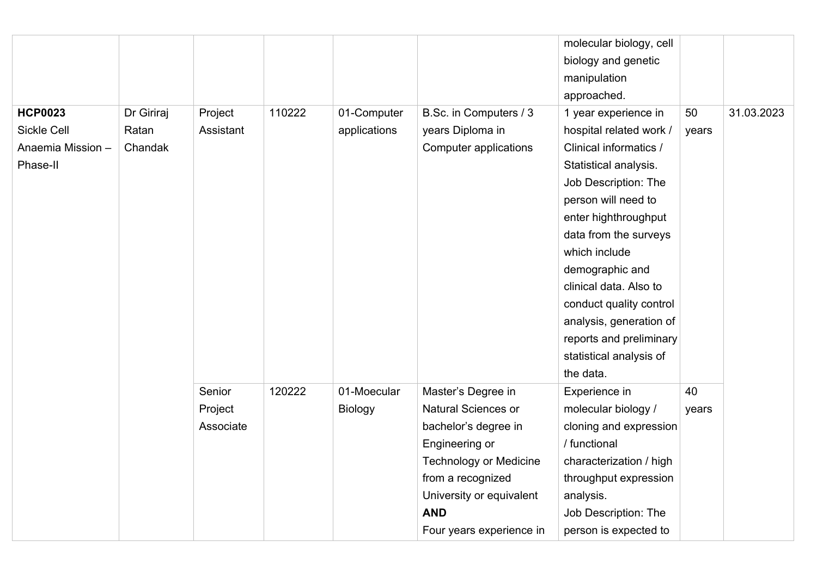|                    |            |           |        |                |                               | molecular biology, cell |       |            |
|--------------------|------------|-----------|--------|----------------|-------------------------------|-------------------------|-------|------------|
|                    |            |           |        |                |                               | biology and genetic     |       |            |
|                    |            |           |        |                |                               | manipulation            |       |            |
|                    |            |           |        |                |                               | approached.             |       |            |
| <b>HCP0023</b>     | Dr Giriraj | Project   | 110222 | 01-Computer    | B.Sc. in Computers / 3        | 1 year experience in    | 50    | 31.03.2023 |
| <b>Sickle Cell</b> | Ratan      | Assistant |        | applications   | years Diploma in              | hospital related work / | years |            |
| Anaemia Mission -  | Chandak    |           |        |                | Computer applications         | Clinical informatics /  |       |            |
| Phase-II           |            |           |        |                |                               | Statistical analysis.   |       |            |
|                    |            |           |        |                |                               | Job Description: The    |       |            |
|                    |            |           |        |                |                               | person will need to     |       |            |
|                    |            |           |        |                |                               | enter highthroughput    |       |            |
|                    |            |           |        |                |                               | data from the surveys   |       |            |
|                    |            |           |        |                |                               | which include           |       |            |
|                    |            |           |        |                |                               | demographic and         |       |            |
|                    |            |           |        |                |                               | clinical data. Also to  |       |            |
|                    |            |           |        |                |                               | conduct quality control |       |            |
|                    |            |           |        |                |                               | analysis, generation of |       |            |
|                    |            |           |        |                |                               | reports and preliminary |       |            |
|                    |            |           |        |                |                               | statistical analysis of |       |            |
|                    |            |           |        |                |                               | the data.               |       |            |
|                    |            | Senior    | 120222 | 01-Moecular    | Master's Degree in            | Experience in           | 40    |            |
|                    |            | Project   |        | <b>Biology</b> | Natural Sciences or           | molecular biology /     | years |            |
|                    |            | Associate |        |                | bachelor's degree in          | cloning and expression  |       |            |
|                    |            |           |        |                | Engineering or                | / functional            |       |            |
|                    |            |           |        |                | <b>Technology or Medicine</b> | characterization / high |       |            |
|                    |            |           |        |                | from a recognized             | throughput expression   |       |            |
|                    |            |           |        |                | University or equivalent      | analysis.               |       |            |
|                    |            |           |        |                | <b>AND</b>                    | Job Description: The    |       |            |
|                    |            |           |        |                | Four years experience in      | person is expected to   |       |            |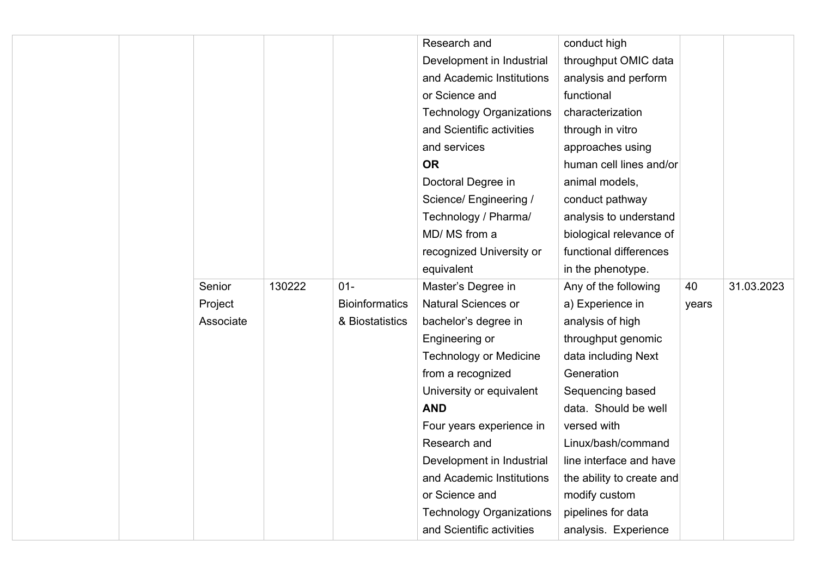|  |           |        |                       | Research and                    | conduct high              |       |            |
|--|-----------|--------|-----------------------|---------------------------------|---------------------------|-------|------------|
|  |           |        |                       | Development in Industrial       | throughput OMIC data      |       |            |
|  |           |        |                       | and Academic Institutions       | analysis and perform      |       |            |
|  |           |        |                       |                                 |                           |       |            |
|  |           |        |                       | or Science and                  | functional                |       |            |
|  |           |        |                       | <b>Technology Organizations</b> | characterization          |       |            |
|  |           |        |                       | and Scientific activities       | through in vitro          |       |            |
|  |           |        |                       | and services                    | approaches using          |       |            |
|  |           |        |                       | <b>OR</b>                       | human cell lines and/or   |       |            |
|  |           |        |                       | Doctoral Degree in              | animal models,            |       |            |
|  |           |        |                       | Science/ Engineering /          | conduct pathway           |       |            |
|  |           |        |                       | Technology / Pharma/            | analysis to understand    |       |            |
|  |           |        |                       | MD/ MS from a                   | biological relevance of   |       |            |
|  |           |        |                       | recognized University or        | functional differences    |       |            |
|  |           |        |                       | equivalent                      | in the phenotype.         |       |            |
|  | Senior    | 130222 | $01 -$                | Master's Degree in              | Any of the following      | 40    | 31.03.2023 |
|  | Project   |        | <b>Bioinformatics</b> | <b>Natural Sciences or</b>      | a) Experience in          | years |            |
|  | Associate |        | & Biostatistics       | bachelor's degree in            | analysis of high          |       |            |
|  |           |        |                       | Engineering or                  | throughput genomic        |       |            |
|  |           |        |                       | <b>Technology or Medicine</b>   | data including Next       |       |            |
|  |           |        |                       | from a recognized               | Generation                |       |            |
|  |           |        |                       | University or equivalent        | Sequencing based          |       |            |
|  |           |        |                       | <b>AND</b>                      | data. Should be well      |       |            |
|  |           |        |                       | Four years experience in        | versed with               |       |            |
|  |           |        |                       | Research and                    | Linux/bash/command        |       |            |
|  |           |        |                       | Development in Industrial       | line interface and have   |       |            |
|  |           |        |                       | and Academic Institutions       | the ability to create and |       |            |
|  |           |        |                       | or Science and                  | modify custom             |       |            |
|  |           |        |                       | <b>Technology Organizations</b> | pipelines for data        |       |            |
|  |           |        |                       | and Scientific activities       | analysis. Experience      |       |            |
|  |           |        |                       |                                 |                           |       |            |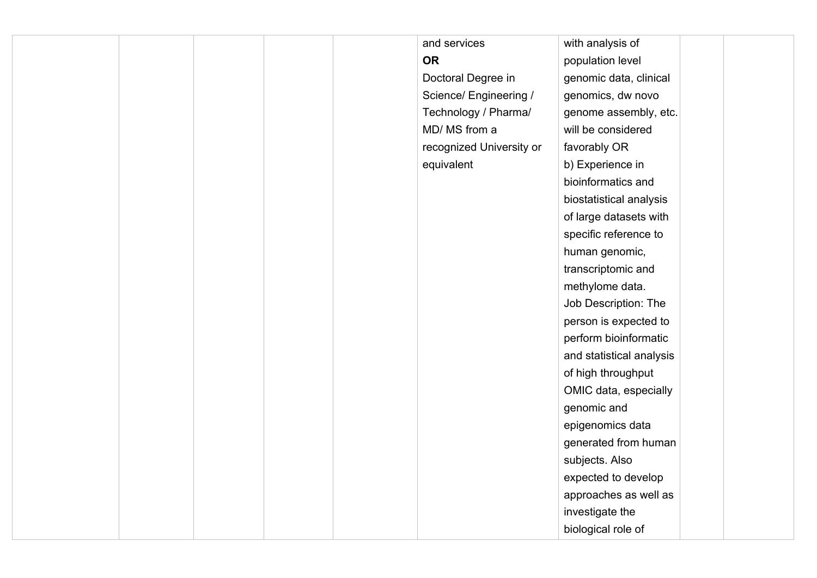|  |  | and services             | with analysis of         |  |
|--|--|--------------------------|--------------------------|--|
|  |  | <b>OR</b>                | population level         |  |
|  |  | Doctoral Degree in       | genomic data, clinical   |  |
|  |  | Science/ Engineering /   | genomics, dw novo        |  |
|  |  | Technology / Pharma/     | genome assembly, etc.    |  |
|  |  | MD/ MS from a            | will be considered       |  |
|  |  | recognized University or | favorably OR             |  |
|  |  | equivalent               | b) Experience in         |  |
|  |  |                          | bioinformatics and       |  |
|  |  |                          | biostatistical analysis  |  |
|  |  |                          | of large datasets with   |  |
|  |  |                          | specific reference to    |  |
|  |  |                          | human genomic,           |  |
|  |  |                          | transcriptomic and       |  |
|  |  |                          | methylome data.          |  |
|  |  |                          | Job Description: The     |  |
|  |  |                          | person is expected to    |  |
|  |  |                          | perform bioinformatic    |  |
|  |  |                          | and statistical analysis |  |
|  |  |                          | of high throughput       |  |
|  |  |                          | OMIC data, especially    |  |
|  |  |                          | genomic and              |  |
|  |  |                          | epigenomics data         |  |
|  |  |                          | generated from human     |  |
|  |  |                          | subjects. Also           |  |
|  |  |                          | expected to develop      |  |
|  |  |                          | approaches as well as    |  |
|  |  |                          | investigate the          |  |
|  |  |                          | biological role of       |  |
|  |  |                          |                          |  |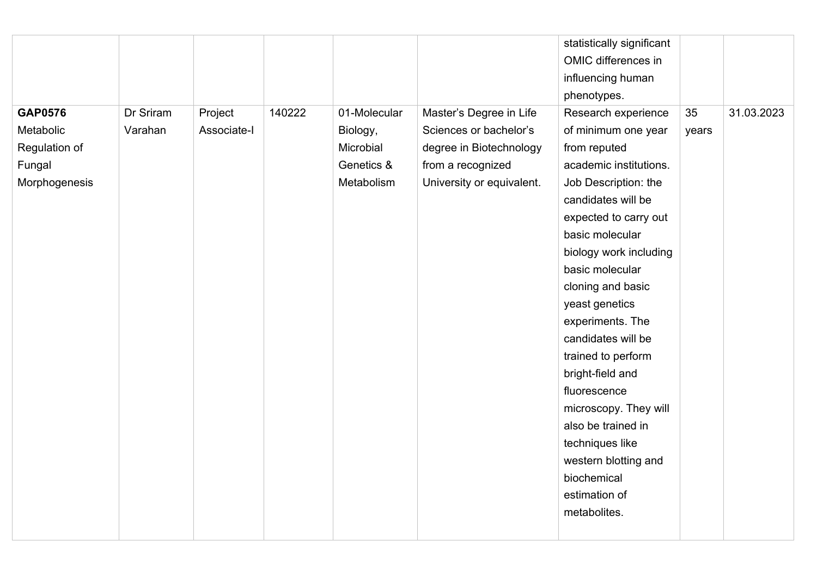|                |           |             |        |              |                           | statistically significant |       |            |
|----------------|-----------|-------------|--------|--------------|---------------------------|---------------------------|-------|------------|
|                |           |             |        |              |                           | OMIC differences in       |       |            |
|                |           |             |        |              |                           | influencing human         |       |            |
|                |           |             |        |              |                           | phenotypes.               |       |            |
| <b>GAP0576</b> | Dr Sriram | Project     | 140222 | 01-Molecular | Master's Degree in Life   | Research experience       | 35    | 31.03.2023 |
| Metabolic      | Varahan   | Associate-I |        | Biology,     | Sciences or bachelor's    | of minimum one year       | years |            |
| Regulation of  |           |             |        | Microbial    | degree in Biotechnology   | from reputed              |       |            |
| Fungal         |           |             |        | Genetics &   | from a recognized         | academic institutions.    |       |            |
| Morphogenesis  |           |             |        | Metabolism   | University or equivalent. | Job Description: the      |       |            |
|                |           |             |        |              |                           | candidates will be        |       |            |
|                |           |             |        |              |                           | expected to carry out     |       |            |
|                |           |             |        |              |                           | basic molecular           |       |            |
|                |           |             |        |              |                           | biology work including    |       |            |
|                |           |             |        |              |                           | basic molecular           |       |            |
|                |           |             |        |              |                           | cloning and basic         |       |            |
|                |           |             |        |              |                           | yeast genetics            |       |            |
|                |           |             |        |              |                           | experiments. The          |       |            |
|                |           |             |        |              |                           | candidates will be        |       |            |
|                |           |             |        |              |                           | trained to perform        |       |            |
|                |           |             |        |              |                           | bright-field and          |       |            |
|                |           |             |        |              |                           | fluorescence              |       |            |
|                |           |             |        |              |                           | microscopy. They will     |       |            |
|                |           |             |        |              |                           | also be trained in        |       |            |
|                |           |             |        |              |                           | techniques like           |       |            |
|                |           |             |        |              |                           | western blotting and      |       |            |
|                |           |             |        |              |                           | biochemical               |       |            |
|                |           |             |        |              |                           | estimation of             |       |            |
|                |           |             |        |              |                           | metabolites.              |       |            |
|                |           |             |        |              |                           |                           |       |            |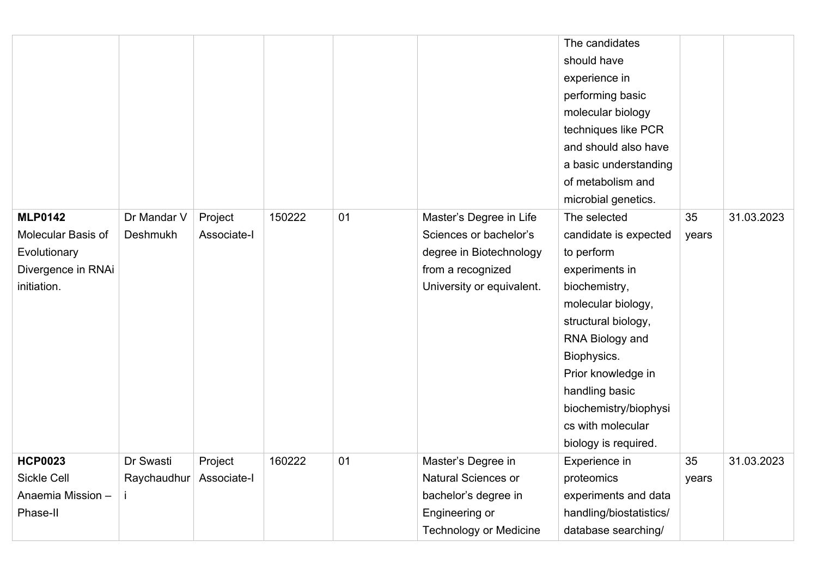|                                                                                           |                          |                        |        |    |                                                                                                                                | The candidates<br>should have<br>experience in<br>performing basic<br>molecular biology<br>techniques like PCR<br>and should also have<br>a basic understanding<br>of metabolism and<br>microbial genetics.                                                                         |             |            |
|-------------------------------------------------------------------------------------------|--------------------------|------------------------|--------|----|--------------------------------------------------------------------------------------------------------------------------------|-------------------------------------------------------------------------------------------------------------------------------------------------------------------------------------------------------------------------------------------------------------------------------------|-------------|------------|
| <b>MLP0142</b><br>Molecular Basis of<br>Evolutionary<br>Divergence in RNAi<br>initiation. | Dr Mandar V<br>Deshmukh  | Project<br>Associate-I | 150222 | 01 | Master's Degree in Life<br>Sciences or bachelor's<br>degree in Biotechnology<br>from a recognized<br>University or equivalent. | The selected<br>candidate is expected<br>to perform<br>experiments in<br>biochemistry,<br>molecular biology,<br>structural biology,<br>RNA Biology and<br>Biophysics.<br>Prior knowledge in<br>handling basic<br>biochemistry/biophysi<br>cs with molecular<br>biology is required. | 35<br>years | 31.03.2023 |
| <b>HCP0023</b><br><b>Sickle Cell</b><br>Anaemia Mission -<br>Phase-II                     | Dr Swasti<br>Raychaudhur | Project<br>Associate-I | 160222 | 01 | Master's Degree in<br><b>Natural Sciences or</b><br>bachelor's degree in<br>Engineering or<br><b>Technology or Medicine</b>    | Experience in<br>proteomics<br>experiments and data<br>handling/biostatistics/<br>database searching/                                                                                                                                                                               | 35<br>years | 31.03.2023 |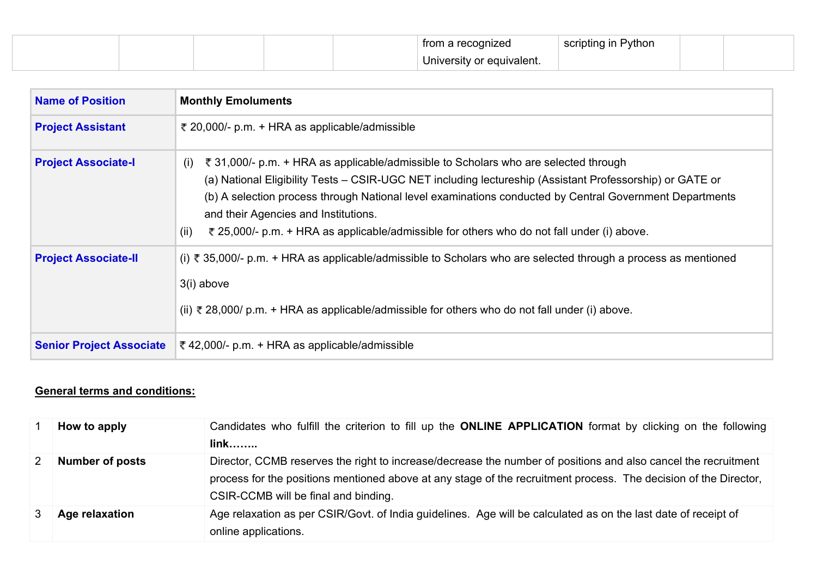|  |  | cognized.                 | Python<br>scripting in I<br>. |  |
|--|--|---------------------------|-------------------------------|--|
|  |  | University or equivalent. |                               |  |

| <b>Name of Position</b>         | <b>Monthly Emoluments</b>                                                                                                                                                                                                                                                                                                                                                                                                                                       |
|---------------------------------|-----------------------------------------------------------------------------------------------------------------------------------------------------------------------------------------------------------------------------------------------------------------------------------------------------------------------------------------------------------------------------------------------------------------------------------------------------------------|
| <b>Project Assistant</b>        | ₹ 20,000/- p.m. + HRA as applicable/admissible                                                                                                                                                                                                                                                                                                                                                                                                                  |
| <b>Project Associate-I</b>      | ₹ 31,000/- p.m. + HRA as applicable/admissible to Scholars who are selected through<br>(i)<br>(a) National Eligibility Tests - CSIR-UGC NET including lectureship (Assistant Professorship) or GATE or<br>(b) A selection process through National level examinations conducted by Central Government Departments<br>and their Agencies and Institutions.<br>(ii)<br>₹ 25,000/- p.m. + HRA as applicable/admissible for others who do not fall under (i) above. |
| <b>Project Associate-II</b>     | (i) ₹ 35,000/- p.m. + HRA as applicable/admissible to Scholars who are selected through a process as mentioned<br>3(i) above<br>(ii) ₹ 28,000/ p.m. + HRA as applicable/admissible for others who do not fall under (i) above.                                                                                                                                                                                                                                  |
| <b>Senior Project Associate</b> | ₹42,000/- p.m. + HRA as applicable/admissible                                                                                                                                                                                                                                                                                                                                                                                                                   |

## **General terms and conditions:**

| How to apply           | Candidates who fulfill the criterion to fill up the <b>ONLINE APPLICATION</b> format by clicking on the following<br>$link$                                                                                                                                                |
|------------------------|----------------------------------------------------------------------------------------------------------------------------------------------------------------------------------------------------------------------------------------------------------------------------|
| <b>Number of posts</b> | Director, CCMB reserves the right to increase/decrease the number of positions and also cancel the recruitment<br>process for the positions mentioned above at any stage of the recruitment process. The decision of the Director,<br>CSIR-CCMB will be final and binding. |
| Age relaxation         | Age relaxation as per CSIR/Govt. of India guidelines. Age will be calculated as on the last date of receipt of<br>online applications.                                                                                                                                     |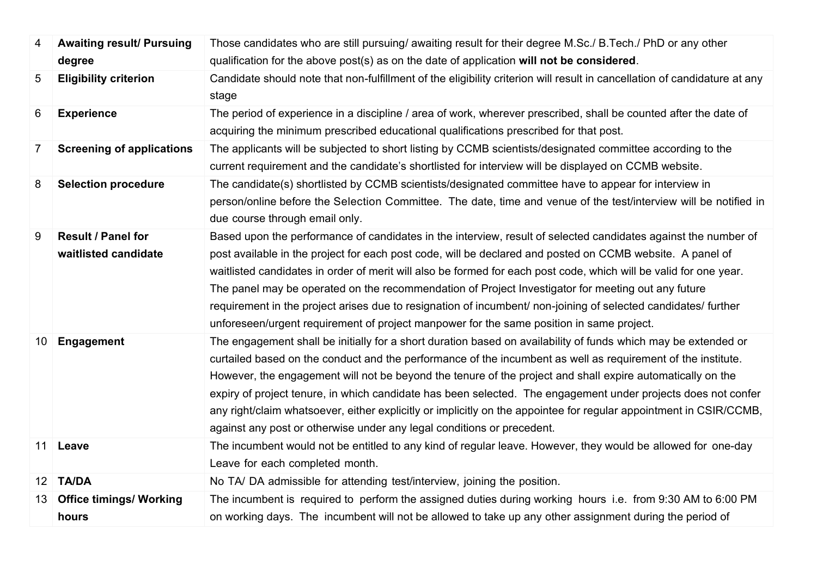| 4               | <b>Awaiting result/ Pursuing</b> | Those candidates who are still pursuing/ awaiting result for their degree M.Sc./ B.Tech./ PhD or any other                         |
|-----------------|----------------------------------|------------------------------------------------------------------------------------------------------------------------------------|
|                 | degree                           | qualification for the above post(s) as on the date of application will not be considered.                                          |
| 5               | <b>Eligibility criterion</b>     | Candidate should note that non-fulfillment of the eligibility criterion will result in cancellation of candidature at any<br>stage |
| 6               | <b>Experience</b>                | The period of experience in a discipline / area of work, wherever prescribed, shall be counted after the date of                   |
|                 |                                  | acquiring the minimum prescribed educational qualifications prescribed for that post.                                              |
| $\overline{7}$  | <b>Screening of applications</b> | The applicants will be subjected to short listing by CCMB scientists/designated committee according to the                         |
|                 |                                  | current requirement and the candidate's shortlisted for interview will be displayed on CCMB website.                               |
| 8               | <b>Selection procedure</b>       | The candidate(s) shortlisted by CCMB scientists/designated committee have to appear for interview in                               |
|                 |                                  | person/online before the Selection Committee. The date, time and venue of the test/interview will be notified in                   |
|                 |                                  | due course through email only.                                                                                                     |
| 9               | <b>Result / Panel for</b>        | Based upon the performance of candidates in the interview, result of selected candidates against the number of                     |
|                 | waitlisted candidate             | post available in the project for each post code, will be declared and posted on CCMB website. A panel of                          |
|                 |                                  | waitlisted candidates in order of merit will also be formed for each post code, which will be valid for one year.                  |
|                 |                                  | The panel may be operated on the recommendation of Project Investigator for meeting out any future                                 |
|                 |                                  | requirement in the project arises due to resignation of incumbent/ non-joining of selected candidates/ further                     |
|                 |                                  | unforeseen/urgent requirement of project manpower for the same position in same project.                                           |
| 10              | Engagement                       | The engagement shall be initially for a short duration based on availability of funds which may be extended or                     |
|                 |                                  | curtailed based on the conduct and the performance of the incumbent as well as requirement of the institute.                       |
|                 |                                  | However, the engagement will not be beyond the tenure of the project and shall expire automatically on the                         |
|                 |                                  | expiry of project tenure, in which candidate has been selected. The engagement under projects does not confer                      |
|                 |                                  | any right/claim whatsoever, either explicitly or implicitly on the appointee for regular appointment in CSIR/CCMB,                 |
|                 |                                  | against any post or otherwise under any legal conditions or precedent.                                                             |
| 11              | Leave                            | The incumbent would not be entitled to any kind of regular leave. However, they would be allowed for one-day                       |
|                 |                                  | Leave for each completed month.                                                                                                    |
| 12 <sup>1</sup> | <b>TA/DA</b>                     | No TA/DA admissible for attending test/interview, joining the position.                                                            |
| 13              | <b>Office timings/ Working</b>   | The incumbent is required to perform the assigned duties during working hours i.e. from 9:30 AM to 6:00 PM                         |
|                 | hours                            | on working days. The incumbent will not be allowed to take up any other assignment during the period of                            |